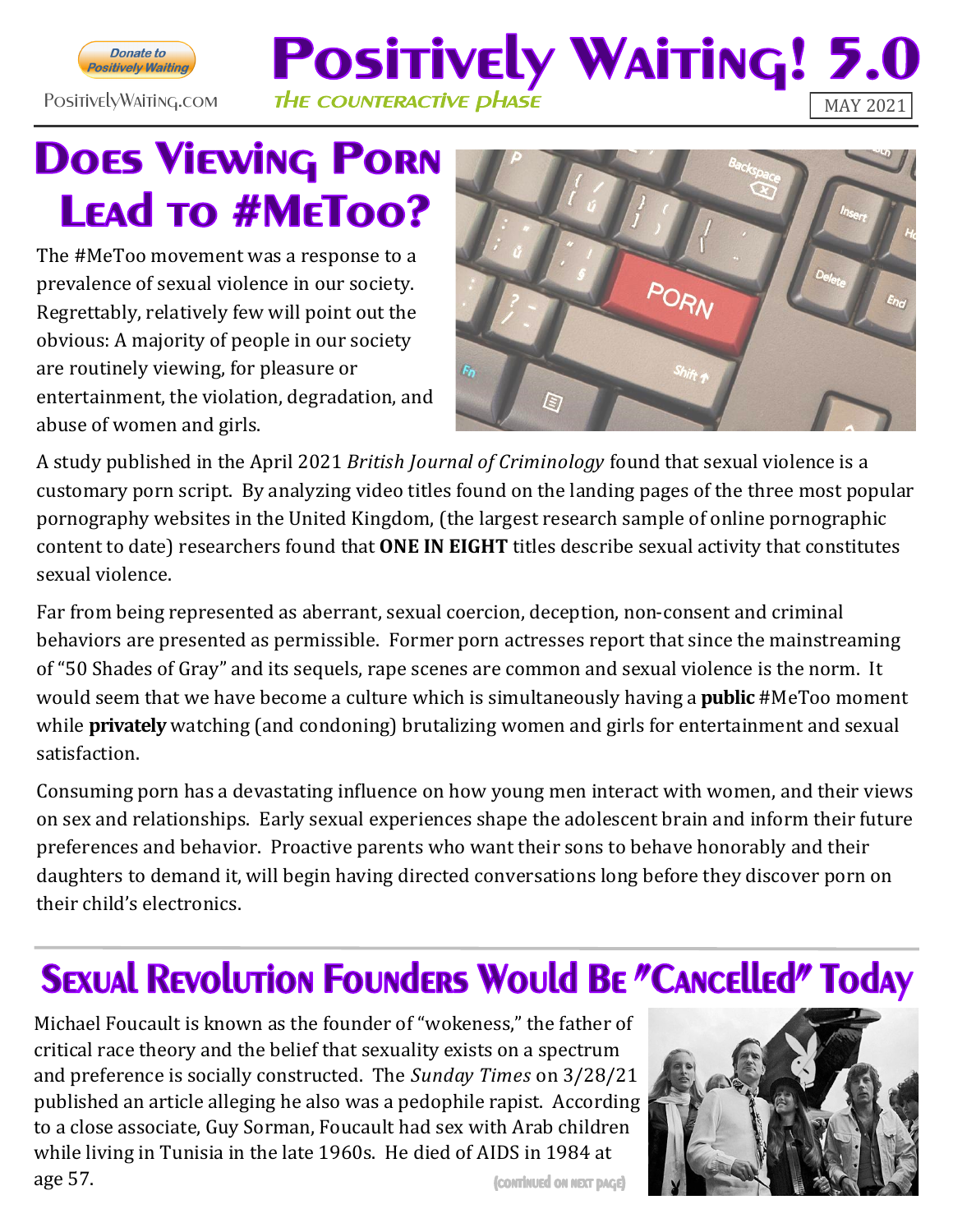

### **Positively Waiting! 5** PositivelyWaiting.com THE COUNTERACTIVE PHASE

## **DOES VIEWING PORN LEAD TO #METOO?**

The #MeToo movement was a response to a prevalence of sexual violence in our society. Regrettably, relatively few will point out the obvious: A majority of people in our society are routinely viewing, for pleasure or entertainment, the violation, degradation, and abuse of women and girls.



A study published in the April 2021 *British Journal of Criminology* found that sexual violence is a customary porn script. By analyzing video titles found on the landing pages of the three most popular pornography websites in the United Kingdom, (the largest research sample of online pornographic content to date) researchers found that **ONE IN EIGHT** titles describe sexual activity that constitutes sexual violence.

Far from being represented as aberrant, sexual coercion, deception, non-consent and criminal behaviors are presented as permissible. Former porn actresses report that since the mainstreaming of "50 Shades of Gray" and its sequels, rape scenes are common and sexual violence is the norm. It would seem that we have become a culture which is simultaneously having a **public** #MeToo moment while **privately** watching (and condoning) brutalizing women and girls for entertainment and sexual satisfaction.

Consuming porn has a devastating influence on how young men interact with women, and their views on sex and relationships. Early sexual experiences shape the adolescent brain and inform their future preferences and behavior. Proactive parents who want their sons to behave honorably and their daughters to demand it, will begin having directed conversations long before they discover porn on their child's electronics.

## **SEXUAL REVOLUTION FOUNDERS WOULD BE "CANCELLED" TODAY**

Michael Foucault is known as the founder of "wokeness," the father of critical race theory and the belief that sexuality exists on a spectrum and preference is socially constructed. The *Sunday Times* on 3/28/21 published an article alleging he also was a pedophile rapist. According to a close associate, Guy Sorman, Foucault had sex with Arab children while living in Tunisia in the late 1960s. He died of AIDS in 1984 at age 57. (CONTINUED ON NEXT PAGE)